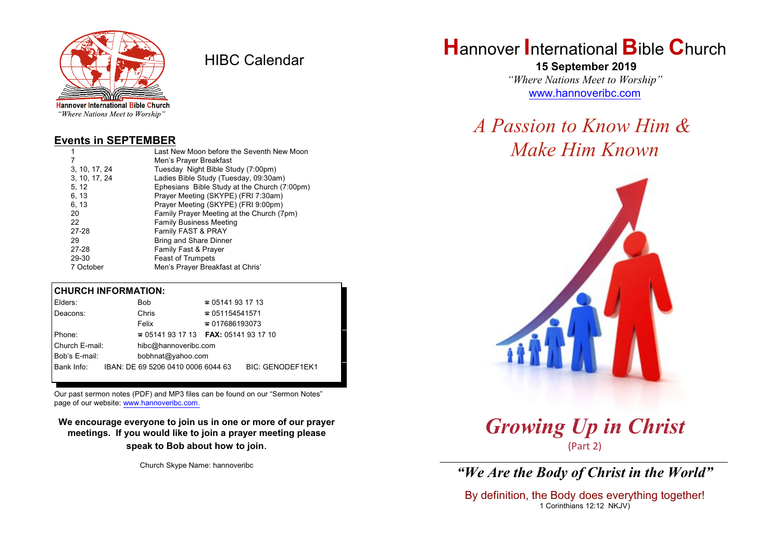

HIBC Calendar

"Where Nations Meet to Worship"

#### **Events in SEPTEMBER**

|               | Last New Moon before the Seventh New Moon    |  |  |
|---------------|----------------------------------------------|--|--|
| 7             | Men's Prayer Breakfast                       |  |  |
| 3, 10, 17, 24 | Tuesday Night Bible Study (7:00pm)           |  |  |
| 3, 10, 17, 24 | Ladies Bible Study (Tuesday, 09:30am)        |  |  |
| 5, 12         | Ephesians Bible Study at the Church (7:00pm) |  |  |
| 6, 13         | Prayer Meeting (SKYPE) (FRI 7:30am)          |  |  |
| 6, 13         | Prayer Meeting (SKYPE) (FRI 9:00pm)          |  |  |
| 20            | Family Prayer Meeting at the Church (7pm)    |  |  |
| 22            | <b>Family Business Meeting</b>               |  |  |
| 27-28         | Family FAST & PRAY                           |  |  |
| 29            | <b>Bring and Share Dinner</b>                |  |  |
| 27-28         | <b>Family Fast &amp; Prayer</b>              |  |  |
| 29-30         | <b>Feast of Trumpets</b>                     |  |  |
| 7 October     | Men's Prayer Breakfast at Chris'             |  |  |

#### **CHURCH INFORMATION:**

| Bob                  | $\approx 05141931713$  |                                                                                                     |
|----------------------|------------------------|-----------------------------------------------------------------------------------------------------|
| Chris                | $\approx 051154541571$ |                                                                                                     |
| Felix                | $\approx 017686193073$ |                                                                                                     |
|                      |                        |                                                                                                     |
| hibc@hannoveribc.com |                        |                                                                                                     |
|                      |                        |                                                                                                     |
|                      |                        | <b>BIC: GENODEF1EK1</b>                                                                             |
|                      |                        | $\approx 05141931713$ FAX: 0514193 17 10<br>bobhnat@yahoo.com<br>IBAN: DE 69 5206 0410 0006 6044 63 |

Our past sermon notes (PDF) and MP3 files can be found on our "Sermon Notes" page of our website: [www.hannoveribc.com.](http://www.hannoveribc.com.)

**We encourage everyone to join us in one or more of our prayer meetings. If you would like to join a prayer meeting please speak to Bob about how to join**.

Church Skype Name: hannoveribc

# **H**annover **I**nternational **B**ible **C**hurch

 **15 September 2019** *"Where Nations Meet to Worship"* [www.hannoveribc.com](http://www.hannoveribc.com)

# *A Passion to Know Him & Make Him Known*



*Growing Up in Christ* (Part 2)

\_\_\_\_\_\_\_\_\_\_\_\_\_\_\_\_\_\_\_\_\_\_\_\_\_\_\_\_\_\_\_\_\_\_\_\_\_\_\_\_\_\_\_\_\_\_\_\_\_\_\_\_\_\_\_\_\_\_\_\_\_\_ *"We Are the Body of Christ in the World"*

By definition, the Body does everything together! 1 Corinthians 12:12 NKJV)